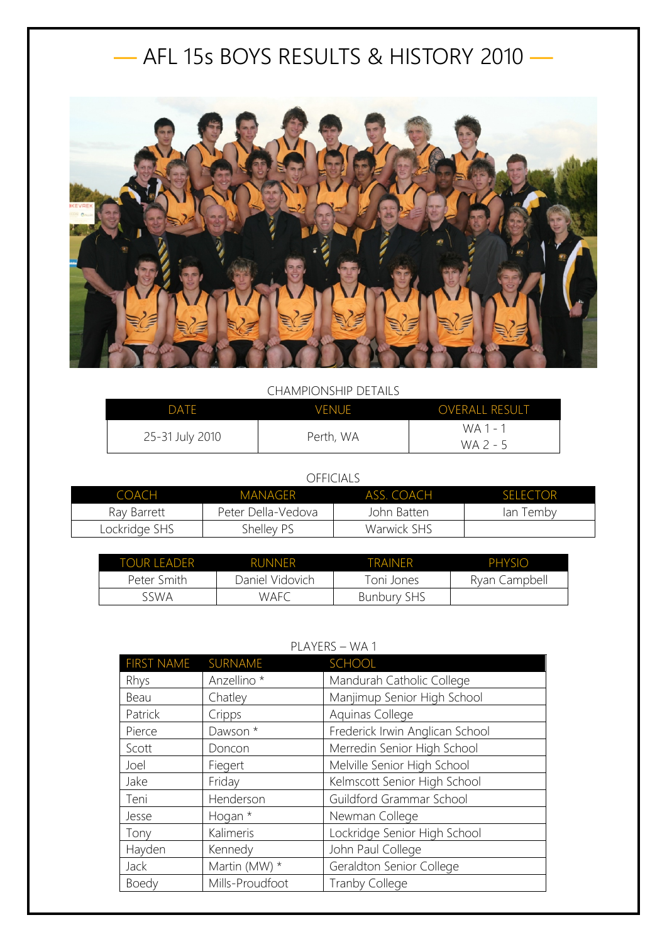## — AFL 15s BOYS RESULTS & HISTORY 2010 —



## CHAMPIONSHIP DETAILS

| <b>DATE</b>     | <b>VENUE</b> | <b>OVERALL RESULT</b> |
|-----------------|--------------|-----------------------|
| 25-31 July 2010 | Perth, WA    | WA 1 - 1<br>WA 2 - 5  |

## OFFICIALS

| <b>COACH</b>  | MANAGER            | ASS. COACH  | <b>SELECTOR</b> |
|---------------|--------------------|-------------|-----------------|
| Ray Barrett   | Peter Della-Vedova | John Batten | lan Temby       |
| Lockridge SHS | Shelley PS         | Warwick SHS |                 |

| TOUR LEADER | <b>RUNNER</b>   | <b>TRAINFR</b>     | PHYSIO        |
|-------------|-----------------|--------------------|---------------|
| Peter Smith | Daniel Vidovich | Toni Jones         | Ryan Campbell |
| sswa        | <b>WAFC</b>     | <b>Bunbury SHS</b> |               |

## PLAYERS – WA 1

| <b>FIRST NAME</b> | SURNAME                | SCHOOL                          |
|-------------------|------------------------|---------------------------------|
| Rhys              | Anzellino <sup>*</sup> | Mandurah Catholic College       |
| Beau              | Chatley                | Manjimup Senior High School     |
| Patrick           | Cripps                 | Aquinas College                 |
| Pierce            | Dawson *               | Frederick Irwin Anglican School |
| Scott             | Doncon                 | Merredin Senior High School     |
| Joel              | Fiegert                | Melville Senior High School     |
| Jake              | Friday                 | Kelmscott Senior High School    |
| Teni              | Henderson              | Guildford Grammar School        |
| Jesse             | Hogan *                | Newman College                  |
| Tony              | Kalimeris              | Lockridge Senior High School    |
| Hayden            | Kennedy                | John Paul College               |
| Jack              | Martin (MW) *          | Geraldton Senior College        |
| <b>Boedy</b>      | Mills-Proudfoot        | <b>Tranby College</b>           |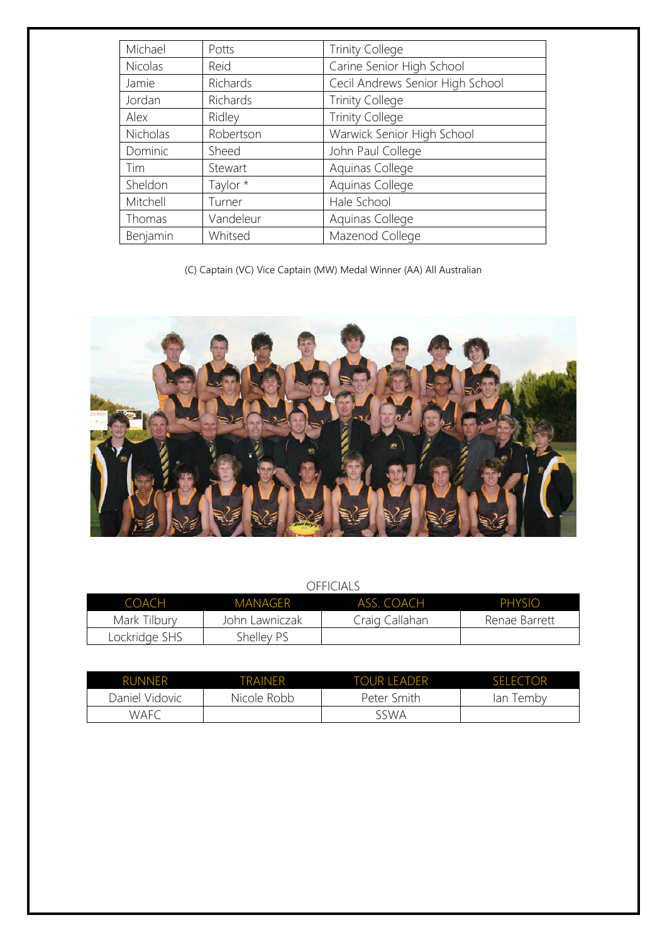| Michael  | Potts     | <b>Trinity College</b>           |
|----------|-----------|----------------------------------|
| Nicolas  | Reid      | Carine Senior High School        |
| Jamie    | Richards  | Cecil Andrews Senior High School |
| Jordan   | Richards  | <b>Trinity College</b>           |
| Alex     | Ridley    | <b>Trinity College</b>           |
| Nicholas | Robertson | Warwick Senior High School       |
| Dominic  | Sheed     | John Paul College                |
| Tim      | Stewart   | Aquinas College                  |
| Sheldon  | Taylor *  | Aquinas College                  |
| Mitchell | Turner    | Hale School                      |
| Thomas   | Vandeleur | Aquinas College                  |
| Benjamin | Whitsed   | Mazenod College                  |

(C) Captain (VC) Vice Captain (MW) Medal Winner (AA) All Australian



OFFICIALS

| COACH         | <b>MANAGER</b> | ASS. COACH     | <b>PHYSIO</b> |
|---------------|----------------|----------------|---------------|
| Mark Tilbury  | John Lawniczak | Craig Callahan | Renae Barrett |
| Lockridge SHS | Shelley PS     |                |               |

| <b>RUNNER</b>  | TRAINFR     | TOUR LEADER | <b>SELECTOR</b> |
|----------------|-------------|-------------|-----------------|
| Daniel Vidovic | Nicole Robb | Peter Smith | ™embv<br>lan    |
| <b>WAFC</b>    |             | sswa        |                 |